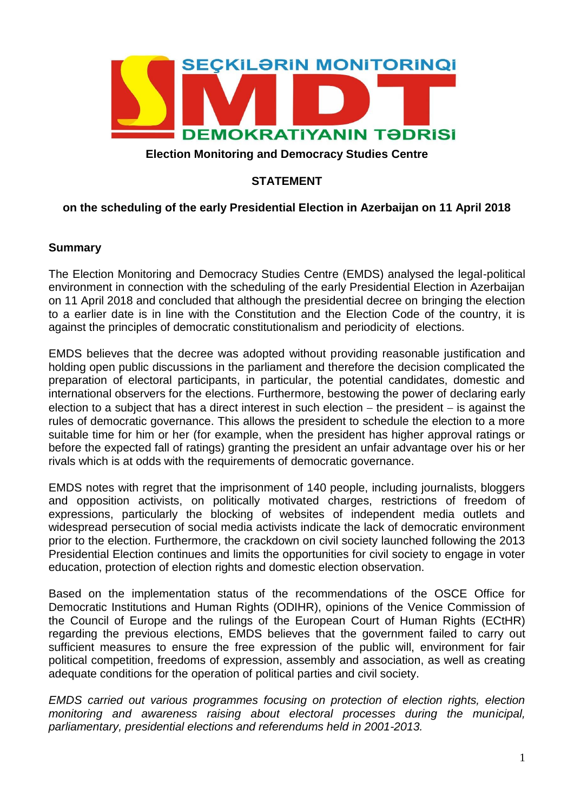

### **Election Monitoring and Democracy Studies Centre**

## **STATEMENT**

### **on the scheduling of the early Presidential Election in Azerbaijan on 11 April 2018**

#### **Summary**

The Election Monitoring and Democracy Studies Centre (EMDS) analysed the legal-political environment in connection with the scheduling of the early Presidential Election in Azerbaijan on 11 April 2018 and concluded that although the presidential decree on bringing the election to a earlier date is in line with the Constitution and the Election Code of the country, it is against the principles of democratic constitutionalism and periodicity of elections.

EMDS believes that the decree was adopted without providing reasonable justification and holding open public discussions in the parliament and therefore the decision complicated the preparation of electoral participants, in particular, the potential candidates, domestic and international observers for the elections. Furthermore, bestowing the power of declaring early election to a subject that has a direct interest in such election  $-$  the president  $-$  is against the rules of democratic governance. This allows the president to schedule the election to a more suitable time for him or her (for example, when the president has higher approval ratings or before the expected fall of ratings) granting the president an unfair advantage over his or her rivals which is at odds with the requirements of democratic governance.

EMDS notes with regret that the imprisonment of 140 people, including journalists, bloggers and opposition activists, on politically motivated charges, restrictions of freedom of expressions, particularly the blocking of websites of independent media outlets and widespread persecution of social media activists indicate the lack of democratic environment prior to the election. Furthermore, the crackdown on civil society launched following the 2013 Presidential Election continues and limits the opportunities for civil society to engage in voter education, protection of election rights and domestic election observation.

Based on the implementation status of the recommendations of the OSCE Office for Democratic Institutions and Human Rights (ODIHR), opinions of the Venice Commission of the Council of Europe and the rulings of the European Court of Human Rights (ECtHR) regarding the previous elections, EMDS believes that the government failed to carry out sufficient measures to ensure the free expression of the public will, environment for fair political competition, freedoms of expression, assembly and association, as well as creating adequate conditions for the operation of political parties and civil society.

*EMDS carried out various programmes focusing on protection of election rights, election monitoring and awareness raising about electoral processes during the municipal, parliamentary, presidential elections and referendums held in 2001-2013.*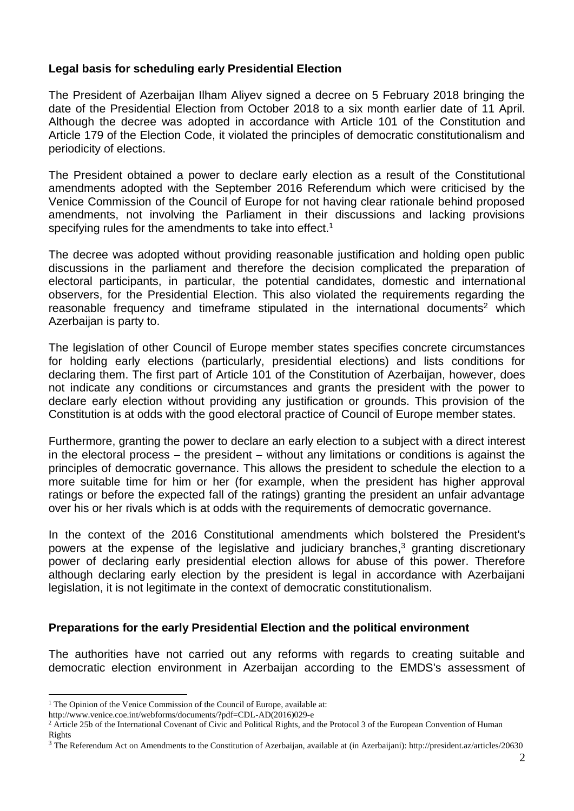# **Legal basis for scheduling early Presidential Election**

The President of Azerbaijan Ilham Aliyev signed a decree on 5 February 2018 bringing the date of the Presidential Election from October 2018 to a six month earlier date of 11 April. Although the decree was adopted in accordance with Article 101 of the Constitution and Article 179 of the Election Code, it violated the principles of democratic constitutionalism and periodicity of elections.

The President obtained a power to declare early election as a result of the Constitutional amendments adopted with the September 2016 Referendum which were criticised by the Venice Commission of the Council of Europe for not having clear rationale behind proposed amendments, not involving the Parliament in their discussions and lacking provisions specifying rules for the amendments to take into effect.<sup>1</sup>

The decree was adopted without providing reasonable justification and holding open public discussions in the parliament and therefore the decision complicated the preparation of electoral participants, in particular, the potential candidates, domestic and international observers, for the Presidential Election. This also violated the requirements regarding the reasonable frequency and timeframe stipulated in the international documents<sup>2</sup> which Azerbaijan is party to.

The legislation of other Council of Europe member states specifies concrete circumstances for holding early elections (particularly, presidential elections) and lists conditions for declaring them. The first part of Article 101 of the Constitution of Azerbaijan, however, does not indicate any conditions or circumstances and grants the president with the power to declare early election without providing any justification or grounds. This provision of the Constitution is at odds with the good electoral practice of Council of Europe member states.

Furthermore, granting the power to declare an early election to a subject with a direct interest in the electoral process  $-$  the president  $-$  without any limitations or conditions is against the principles of democratic governance. This allows the president to schedule the election to a more suitable time for him or her (for example, when the president has higher approval ratings or before the expected fall of the ratings) granting the president an unfair advantage over his or her rivals which is at odds with the requirements of democratic governance.

In the context of the 2016 Constitutional amendments which bolstered the President's powers at the expense of the legislative and judiciary branches, <sup>3</sup> granting discretionary power of declaring early presidential election allows for abuse of this power. Therefore although declaring early election by the president is legal in accordance with Azerbaijani legislation, it is not legitimate in the context of democratic constitutionalism.

## **Preparations for the early Presidential Election and the political environment**

The authorities have not carried out any reforms with regards to creating suitable and democratic election environment in Azerbaijan according to the EMDS's assessment of

 $\overline{a}$ 

<sup>&</sup>lt;sup>1</sup> The Opinion of the Venice Commission of the Council of Europe, available at:

http://www.venice.coe.int/webforms/documents/?pdf=CDL-AD(2016)029-e

 $<sup>2</sup>$  Article 25b of the International Covenant of Civic and Political Rights, and the Protocol 3 of the European Convention of Human</sup> Rights

<sup>3</sup> The Referendum Act on Amendments to the Constitution of Azerbaijan, available at (in Azerbaijani): http://president.az/articles/20630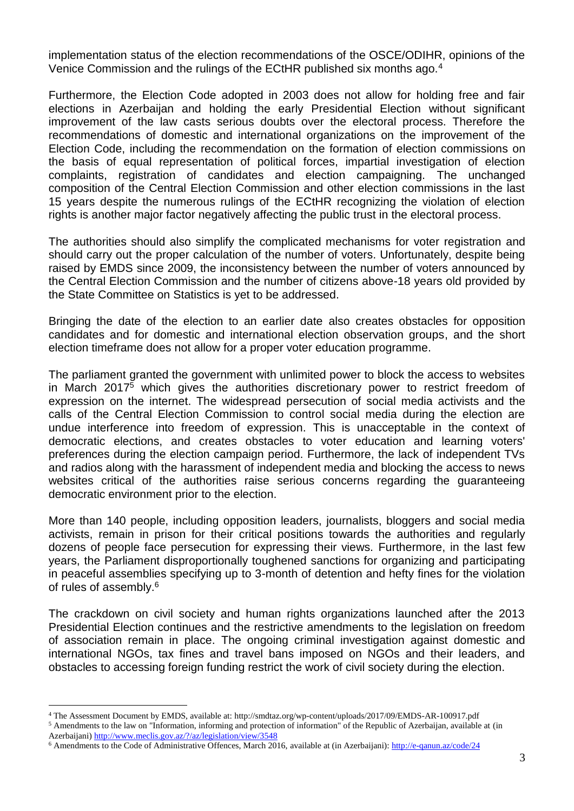implementation status of the election recommendations of the OSCE/ODIHR, opinions of the Venice Commission and the rulings of the ECtHR published six months ago.<sup>4</sup>

Furthermore, the Election Code adopted in 2003 does not allow for holding free and fair elections in Azerbaijan and holding the early Presidential Election without significant improvement of the law casts serious doubts over the electoral process. Therefore the recommendations of domestic and international organizations on the improvement of the Election Code, including the recommendation on the formation of election commissions on the basis of equal representation of political forces, impartial investigation of election complaints, registration of candidates and election campaigning. The unchanged composition of the Central Election Commission and other election commissions in the last 15 years despite the numerous rulings of the ECtHR recognizing the violation of election rights is another major factor negatively affecting the public trust in the electoral process.

The authorities should also simplify the complicated mechanisms for voter registration and should carry out the proper calculation of the number of voters. Unfortunately, despite being raised by EMDS since 2009, the inconsistency between the number of voters announced by the Central Election Commission and the number of citizens above-18 years old provided by the State Committee on Statistics is yet to be addressed.

Bringing the date of the election to an earlier date also creates obstacles for opposition candidates and for domestic and international election observation groups, and the short election timeframe does not allow for a proper voter education programme.

The parliament granted the government with unlimited power to block the access to websites in March 2017<sup>5</sup> which gives the authorities discretionary power to restrict freedom of expression on the internet. The widespread persecution of social media activists and the calls of the Central Election Commission to control social media during the election are undue interference into freedom of expression. This is unacceptable in the context of democratic elections, and creates obstacles to voter education and learning voters' preferences during the election campaign period. Furthermore, the lack of independent TVs and radios along with the harassment of independent media and blocking the access to news websites critical of the authorities raise serious concerns regarding the guaranteeing democratic environment prior to the election.

More than 140 people, including opposition leaders, journalists, bloggers and social media activists, remain in prison for their critical positions towards the authorities and regularly dozens of people face persecution for expressing their views. Furthermore, in the last few years, the Parliament disproportionally toughened sanctions for organizing and participating in peaceful assemblies specifying up to 3-month of detention and hefty fines for the violation of rules of assembly. 6

The crackdown on civil society and human rights organizations launched after the 2013 Presidential Election continues and the restrictive amendments to the legislation on freedom of association remain in place. The ongoing criminal investigation against domestic and international NGOs, tax fines and travel bans imposed on NGOs and their leaders, and obstacles to accessing foreign funding restrict the work of civil society during the election.

 $\overline{a}$ 

<sup>4</sup> The Assessment Document by EMDS, available at: http://smdtaz.org/wp-content/uploads/2017/09/EMDS-AR-100917.pdf <sup>5</sup> Amendments to the law on "Information, informing and protection of information" of the Republic of Azerbaijan, available at (in Azerbaijani) <http://www.meclis.gov.az/?/az/legislation/view/3548>

<sup>6</sup> Amendments to the Code of Administrative Offences, March 2016, available at (in Azerbaijani): <http://e-qanun.az/code/24>